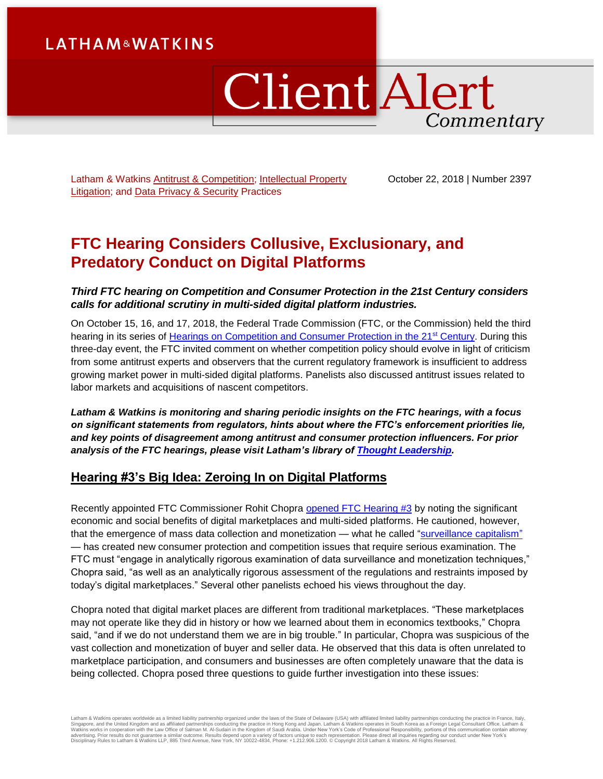# **LATHAM&WATKINS**

# ClientAlert Commentary

Latham & Watkins [Antitrust & Competition;](https://www.lw.com/practices/AntitrustAndCompetition) Intellectual Property [Litigation;](https://www.lw.com/practices/IntellectualPropertyLitigation) and [Data Privacy & Security](https://www.lw.com/practices/DataPrivacy-Security) Practices

October 22, 2018 | Number 2397

# **FTC Hearing Considers Collusive, Exclusionary, and Predatory Conduct on Digital Platforms**

# *Third FTC hearing on Competition and Consumer Protection in the 21st Century considers calls for additional scrutiny in multi-sided digital platform industries.*

On October 15, 16, and 17, 2018, the Federal Trade Commission (FTC, or the Commission) held the third hearing in its series of [Hearings on Competition and Consumer Protection in the 21](https://www.ftc.gov/news-events/events-calendar/2018/10/ftc-hearing-3-competition-consumer-protection-21st-century)<sup>st</sup> Century. During this three-day event, the FTC invited comment on whether competition policy should evolve in light of criticism from some antitrust experts and observers that the current regulatory framework is insufficient to address growing market power in multi-sided digital platforms. Panelists also discussed antitrust issues related to labor markets and acquisitions of nascent competitors.

*Latham & Watkins is monitoring and sharing periodic insights on the FTC hearings, with a focus on significant statements from regulators, hints about where the FTC's enforcement priorities lie, and key points of disagreement among antitrust and consumer protection influencers. For prior analysis of the FTC hearings, please visit Latham's library of [Thought Leadership.](https://www.lw.com/thoughtLeadershipSearch.aspx?searchtopicids=87)*

# **Hearing #3's Big Idea: Zeroing In on Digital Platforms**

Recently appointed FTC Commissioner Rohit Chopra [opened FTC Hearing #3](https://www.ftc.gov/news-events/audio-video/video/ftc-hearing-3-competition-consumer-protection-21st-century-part-one) by noting the significant economic and social benefits of digital marketplaces and multi-sided platforms. He cautioned, however, that the emergence of mass data collection and monetization — what he called ["surveillance capitalism"](https://www.ftc.gov/system/files/documents/public_statements/1415765/chopra_-_prepared_remarks_ftc_hearings_session_3_10-15-18.pdf) — has created new consumer protection and competition issues that require serious examination. The FTC must "engage in analytically rigorous examination of data surveillance and monetization techniques," Chopra said, "as well as an analytically rigorous assessment of the regulations and restraints imposed by today's digital marketplaces." Several other panelists echoed his views throughout the day.

Chopra noted that digital market places are different from traditional marketplaces. "These marketplaces may not operate like they did in history or how we learned about them in economics textbooks," Chopra said, "and if we do not understand them we are in big trouble." In particular, Chopra was suspicious of the vast collection and monetization of buyer and seller data. He observed that this data is often unrelated to marketplace participation, and consumers and businesses are often completely unaware that the data is being collected. Chopra posed three questions to guide further investigation into these issues:

Latham & Watkins operates worldwide as a limited liability partnership organized under the laws of the State of Delaware (USA) with affiliated limited liability partnerships conducting the practice in France, Italy,<br>Singap Disciplinary Rules to Latham & Watkins LLP, 885 Third Avenue, New York, NY 10022-4834, Phone: +1.212.906.1200. © Copyright 2018 Latham & Watkins. All Rights Reserved.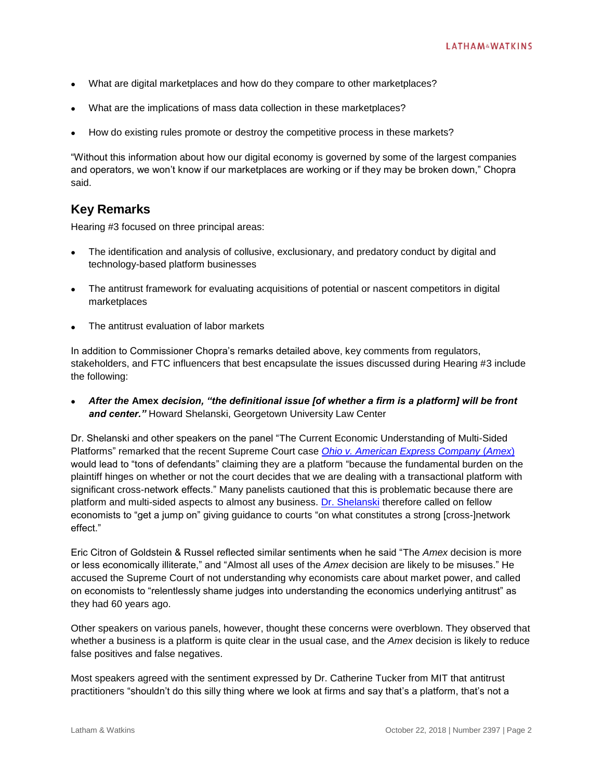- What are digital marketplaces and how do they compare to other marketplaces?
- What are the implications of mass data collection in these marketplaces?
- How do existing rules promote or destroy the competitive process in these markets?

"Without this information about how our digital economy is governed by some of the largest companies and operators, we won't know if our marketplaces are working or if they may be broken down," Chopra said.

# **Key Remarks**

Hearing #3 focused on three principal areas:

- The identification and analysis of collusive, exclusionary, and predatory conduct by digital and technology-based platform businesses
- The antitrust framework for evaluating acquisitions of potential or nascent competitors in digital marketplaces
- The antitrust evaluation of labor markets

In addition to Commissioner Chopra's remarks detailed above, key comments from regulators, stakeholders, and FTC influencers that best encapsulate the issues discussed during Hearing #3 include the following:

 *After the* **Amex** *decision, "the definitional issue [of whether a firm is a platform] will be front and center."* Howard Shelanski, Georgetown University Law Center

Dr. Shelanski and other speakers on the panel "The Current Economic Understanding of Multi-Sided Platforms" remarked that the recent Supreme Court case *[Ohio v. American Express Company](https://www.supremecourt.gov/opinions/17pdf/16-1454_5h26.pdf)* (*Amex*) would lead to "tons of defendants" claiming they are a platform "because the fundamental burden on the plaintiff hinges on whether or not the court decides that we are dealing with a transactional platform with significant cross-network effects." Many panelists cautioned that this is problematic because there are platform and multi-sided aspects to almost any business. [Dr. Shelanski](https://www.ftc.gov/news-events/audio-video/video/ftc-hearing-3-competition-consumer-protection-21st-century-part-two) therefore called on fellow economists to "get a jump on" giving guidance to courts "on what constitutes a strong [cross-]network effect."

Eric Citron of Goldstein & Russel reflected similar sentiments when he said "The *Amex* decision is more or less economically illiterate," and "Almost all uses of the *Amex* decision are likely to be misuses." He accused the Supreme Court of not understanding why economists care about market power, and called on economists to "relentlessly shame judges into understanding the economics underlying antitrust" as they had 60 years ago.

Other speakers on various panels, however, thought these concerns were overblown. They observed that whether a business is a platform is quite clear in the usual case, and the *Amex* decision is likely to reduce false positives and false negatives.

Most speakers agreed with the sentiment expressed by Dr. Catherine Tucker from MIT that antitrust practitioners "shouldn't do this silly thing where we look at firms and say that's a platform, that's not a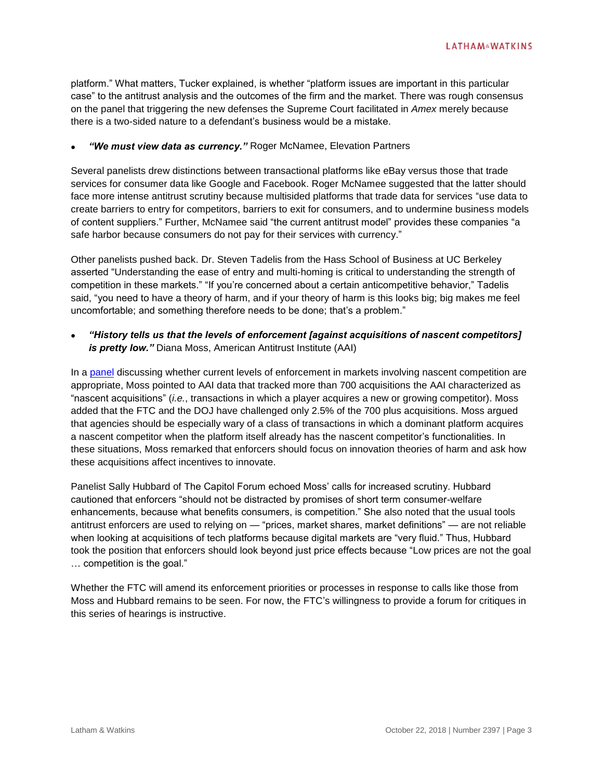platform." What matters, Tucker explained, is whether "platform issues are important in this particular case" to the antitrust analysis and the outcomes of the firm and the market. There was rough consensus on the panel that triggering the new defenses the Supreme Court facilitated in *Amex* merely because there is a two-sided nature to a defendant's business would be a mistake.

# *"We must view data as currency."* Roger McNamee, Elevation Partners

Several panelists drew distinctions between transactional platforms like eBay versus those that trade services for consumer data like Google and Facebook. Roger McNamee suggested that the latter should face more intense antitrust scrutiny because multisided platforms that trade data for services "use data to create barriers to entry for competitors, barriers to exit for consumers, and to undermine business models of content suppliers." Further, McNamee said "the current antitrust model" provides these companies "a safe harbor because consumers do not pay for their services with currency."

Other panelists pushed back. Dr. Steven Tadelis from the Hass School of Business at UC Berkeley asserted "Understanding the ease of entry and multi-homing is critical to understanding the strength of competition in these markets." "If you're concerned about a certain anticompetitive behavior," Tadelis said, "you need to have a theory of harm, and if your theory of harm is this looks big; big makes me feel uncomfortable; and something therefore needs to be done; that's a problem."

 *"History tells us that the levels of enforcement [against acquisitions of nascent competitors] is pretty low."* Diana Moss, American Antitrust Institute (AAI)

In a [panel](https://www.ftc.gov/news-events/audio-video/video/ftc-hearing-3-competition-consumer-protection-21st-century-part-four-1) discussing whether current levels of enforcement in markets involving nascent competition are appropriate, Moss pointed to AAI data that tracked more than 700 acquisitions the AAI characterized as "nascent acquisitions" (*i.e.*, transactions in which a player acquires a new or growing competitor). Moss added that the FTC and the DOJ have challenged only 2.5% of the 700 plus acquisitions. Moss argued that agencies should be especially wary of a class of transactions in which a dominant platform acquires a nascent competitor when the platform itself already has the nascent competitor's functionalities. In these situations, Moss remarked that enforcers should focus on innovation theories of harm and ask how these acquisitions affect incentives to innovate.

Panelist Sally Hubbard of The Capitol Forum echoed Moss' calls for increased scrutiny. Hubbard cautioned that enforcers "should not be distracted by promises of short term consumer-welfare enhancements, because what benefits consumers, is competition." She also noted that the usual tools antitrust enforcers are used to relying on — "prices, market shares, market definitions" — are not reliable when looking at acquisitions of tech platforms because digital markets are "very fluid." Thus, Hubbard took the position that enforcers should look beyond just price effects because "Low prices are not the goal … competition is the goal."

Whether the FTC will amend its enforcement priorities or processes in response to calls like those from Moss and Hubbard remains to be seen. For now, the FTC's willingness to provide a forum for critiques in this series of hearings is instructive.